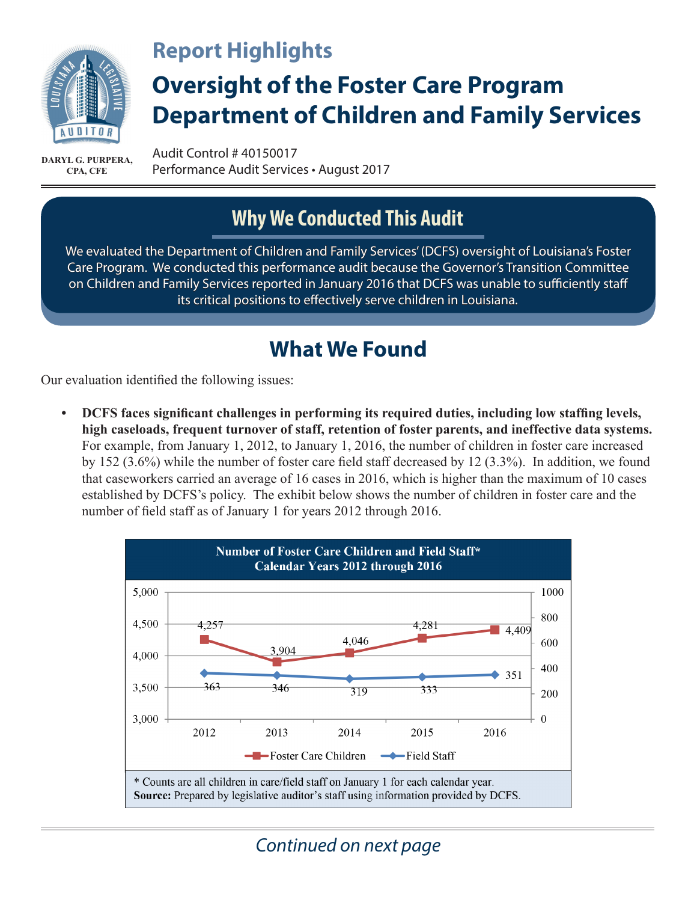

#### **Report Highlights**

# **Oversight of the Foster Care Program Department of Children and Family Services**

**CPA, CFE**

Audit Control # 40150017 Performance Audit Services • August 2017 **DARYL G. PURPERA,** 

### **Why We Conducted This Audit**

We evaluated the Department of Children and Family Services' (DCFS) oversight of Louisiana's Foster Care Program. We conducted this performance audit because the Governor's Transition Committee on Children and Family Services reported in January 2016 that DCFS was unable to sufficiently staff its critical positions to effectively serve children in Louisiana.

#### **What We Found**

Our evaluation identified the following issues:

**• DCFS faces significant challenges in performing its required duties, including low staffing levels, high caseloads, frequent turnover of staff, retention of foster parents, and ineffective data systems.**  For example, from January 1, 2012, to January 1, 2016, the number of children in foster care increased by 152 (3.6%) while the number of foster care field staff decreased by 12 (3.3%). In addition, we found that caseworkers carried an average of 16 cases in 2016, which is higher than the maximum of 10 cases established by DCFS's policy. The exhibit below shows the number of children in foster care and the number of field staff as of January 1 for years 2012 through 2016.



*Continued on next page*